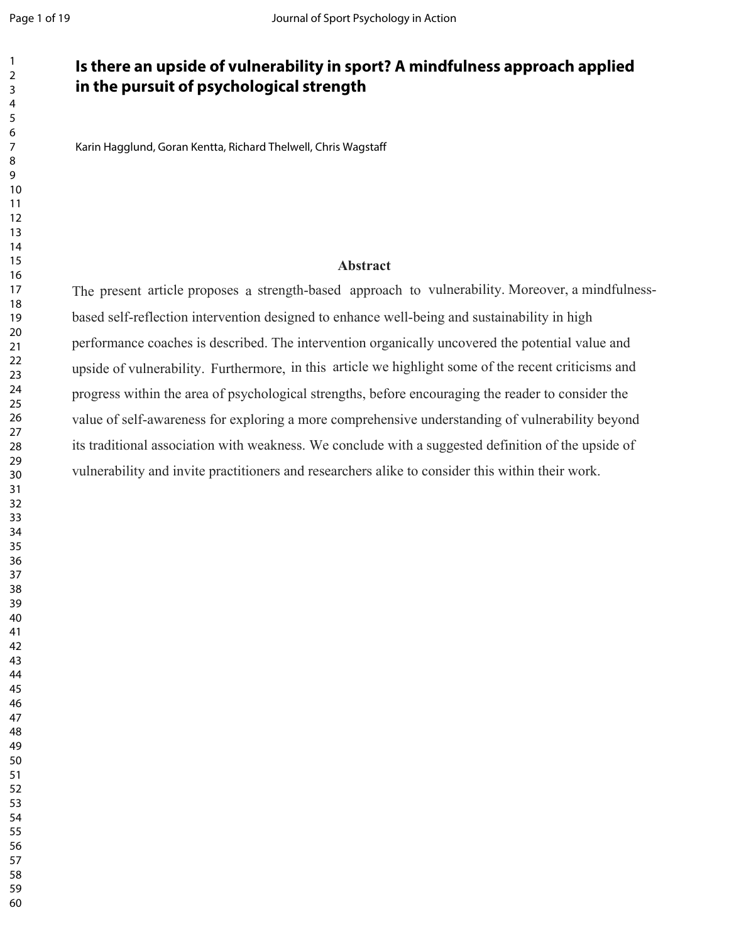## **Is there an upside of vulnerability in sport? A mindfulness approach applied in the pursuit of psychological strength**

Karin Hagglund, Goran Kentta, Richard Thelwell, Chris Wagstaff

## **Abstract**

The present article proposes a strength-based approach to vulnerability. Moreover, a mindfulnessbased self-reflection intervention designed to enhance well-being and sustainability in high performance coaches is described. The intervention organically uncovered the potential value and upside of vulnerability. Furthermore, in this article we highlight some of the recent criticisms and progress within the area of psychological strengths, before encouraging the reader to consider the value of self-awareness for exploring a more comprehensive understanding of vulnerability beyond its traditional association with weakness. We conclude with a suggested definition of the upside of vulnerability and invite practitioners and researchers alike to consider this within their work.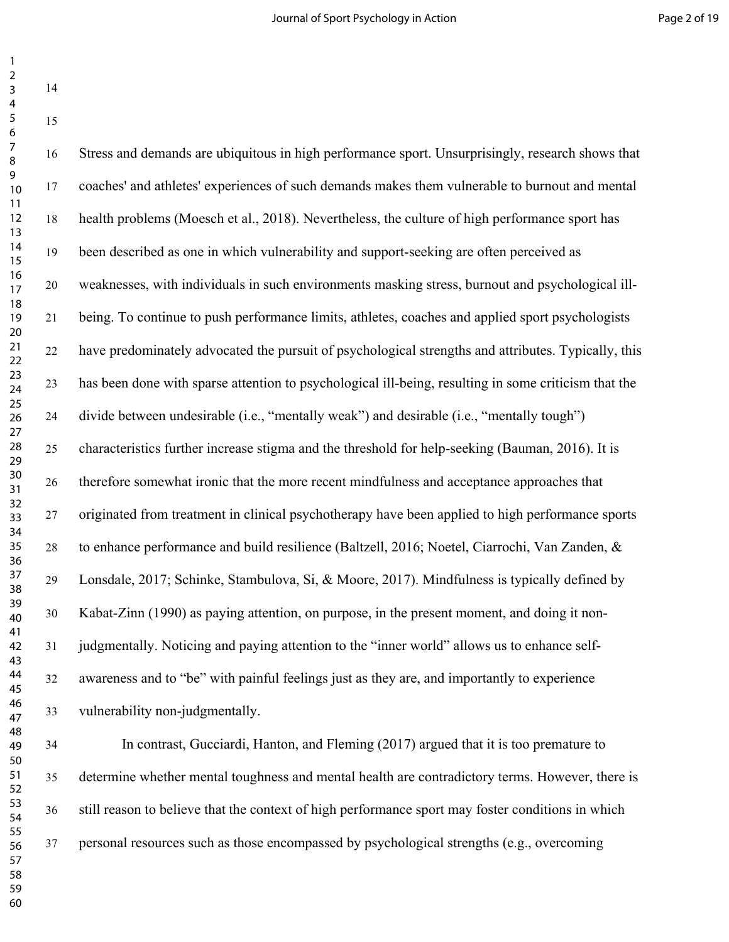| $\overline{2}$<br>$\mathbf{3}$<br>$\overline{4}$ | 14 |                                                                                                      |
|--------------------------------------------------|----|------------------------------------------------------------------------------------------------------|
| $\overline{\mathbf{5}}$<br>$\boldsymbol{6}$      | 15 |                                                                                                      |
| $\overline{7}$<br>8                              | 16 | Stress and demands are ubiquitous in high performance sport. Unsurprisingly, research shows that     |
| 9<br>10                                          | 17 | coaches' and athletes' experiences of such demands makes them vulnerable to burnout and mental       |
| 11<br>12<br>13                                   | 18 | health problems (Moesch et al., 2018). Nevertheless, the culture of high performance sport has       |
| 14<br>15                                         | 19 | been described as one in which vulnerability and support-seeking are often perceived as              |
| 16<br>17                                         | 20 | weaknesses, with individuals in such environments masking stress, burnout and psychological ill-     |
| 18<br>19<br>20                                   | 21 | being. To continue to push performance limits, athletes, coaches and applied sport psychologists     |
| 21<br>22                                         | 22 | have predominately advocated the pursuit of psychological strengths and attributes. Typically, this  |
| 23<br>24                                         | 23 | has been done with sparse attention to psychological ill-being, resulting in some criticism that the |
| 25<br>26                                         | 24 | divide between undesirable (i.e., "mentally weak") and desirable (i.e., "mentally tough")            |
| 27<br>28<br>29                                   | 25 | characteristics further increase stigma and the threshold for help-seeking (Bauman, 2016). It is     |
| 30<br>31                                         | 26 | therefore somewhat ironic that the more recent mindfulness and acceptance approaches that            |
| 32<br>33                                         | 27 | originated from treatment in clinical psychotherapy have been applied to high performance sports     |
| 34<br>35<br>36                                   | 28 | to enhance performance and build resilience (Baltzell, 2016; Noetel, Ciarrochi, Van Zanden, &        |
| 37<br>38                                         | 29 | Lonsdale, 2017; Schinke, Stambulova, Si, & Moore, 2017). Mindfulness is typically defined by         |
| 39<br>40                                         | 30 | Kabat-Zinn (1990) as paying attention, on purpose, in the present moment, and doing it non-          |
| 41<br>42<br>43                                   | 31 | judgmentally. Noticing and paying attention to the "inner world" allows us to enhance self-          |
| 44<br>45                                         | 32 | awareness and to "be" with painful feelings just as they are, and importantly to experience          |
| 46<br>47                                         | 33 | vulnerability non-judgmentally.                                                                      |
| 48<br>49                                         | 34 | In contrast, Gucciardi, Hanton, and Fleming (2017) argued that it is too premature to                |
| 50<br>51<br>52                                   | 35 | determine whether mental toughness and mental health are contradictory terms. However, there is      |
| 53<br>54                                         | 36 | still reason to believe that the context of high performance sport may foster conditions in which    |
| 55<br>56<br>57                                   | 37 | personal resources such as those encompassed by psychological strengths (e.g., overcoming            |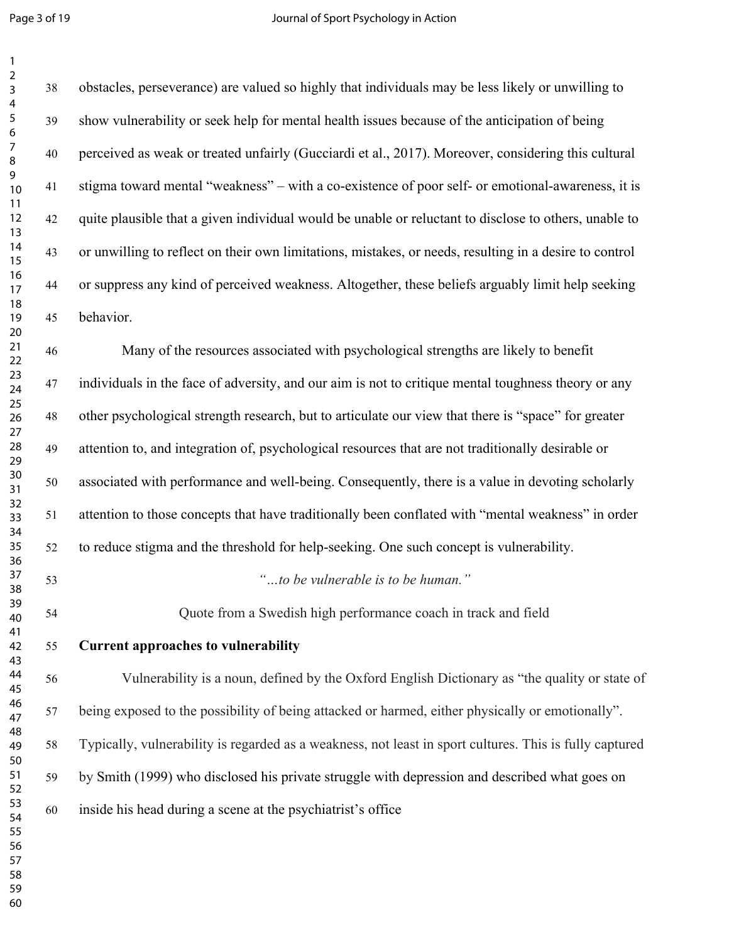| $\overline{a}$<br>$\overline{3}$ | 38     | obstacles, perseverance) are valued so highly that individuals may be less likely or unwilling to       |
|----------------------------------|--------|---------------------------------------------------------------------------------------------------------|
| 4<br>5<br>6                      | 39     | show vulnerability or seek help for mental health issues because of the anticipation of being           |
| 7<br>8                           | $40\,$ | perceived as weak or treated unfairly (Gucciardi et al., 2017). Moreover, considering this cultural     |
| 9<br>10                          | 41     | stigma toward mental "weakness" – with a co-existence of poor self- or emotional-awareness, it is       |
| 11<br>12<br>13                   | 42     | quite plausible that a given individual would be unable or reluctant to disclose to others, unable to   |
| 14<br>15                         | 43     | or unwilling to reflect on their own limitations, mistakes, or needs, resulting in a desire to control  |
| 16<br>17                         | 44     | or suppress any kind of perceived weakness. Altogether, these beliefs arguably limit help seeking       |
| 18<br>19<br>$20\,$               | 45     | behavior.                                                                                               |
| 21<br>22                         | 46     | Many of the resources associated with psychological strengths are likely to benefit                     |
| 23<br>24                         | 47     | individuals in the face of adversity, and our aim is not to critique mental toughness theory or any     |
| 25<br>26<br>27                   | 48     | other psychological strength research, but to articulate our view that there is "space" for greater     |
| 28<br>29                         | 49     | attention to, and integration of, psychological resources that are not traditionally desirable or       |
| $30\,$<br>31                     | 50     | associated with performance and well-being. Consequently, there is a value in devoting scholarly        |
| 32<br>33<br>34                   | 51     | attention to those concepts that have traditionally been conflated with "mental weakness" in order      |
| 35<br>36                         | 52     | to reduce stigma and the threshold for help-seeking. One such concept is vulnerability.                 |
| 37<br>38                         | 53     | "to be vulnerable is to be human."                                                                      |
| 39<br>40                         | 54     | Quote from a Swedish high performance coach in track and field                                          |
| 41<br>42<br>43                   | 55     | <b>Current approaches to vulnerability</b>                                                              |
| 44<br>45                         | 56     | Vulnerability is a noun, defined by the Oxford English Dictionary as "the quality or state of           |
| 46<br>47                         | 57     | being exposed to the possibility of being attacked or harmed, either physically or emotionally".        |
| 48<br>49<br>50                   | 58     | Typically, vulnerability is regarded as a weakness, not least in sport cultures. This is fully captured |
| 51<br>52                         | 59     | by Smith (1999) who disclosed his private struggle with depression and described what goes on           |
| 53<br>54                         | 60     | inside his head during a scene at the psychiatrist's office                                             |
| 55<br>56                         |        |                                                                                                         |
| 57<br>58                         |        |                                                                                                         |
| 59                               |        |                                                                                                         |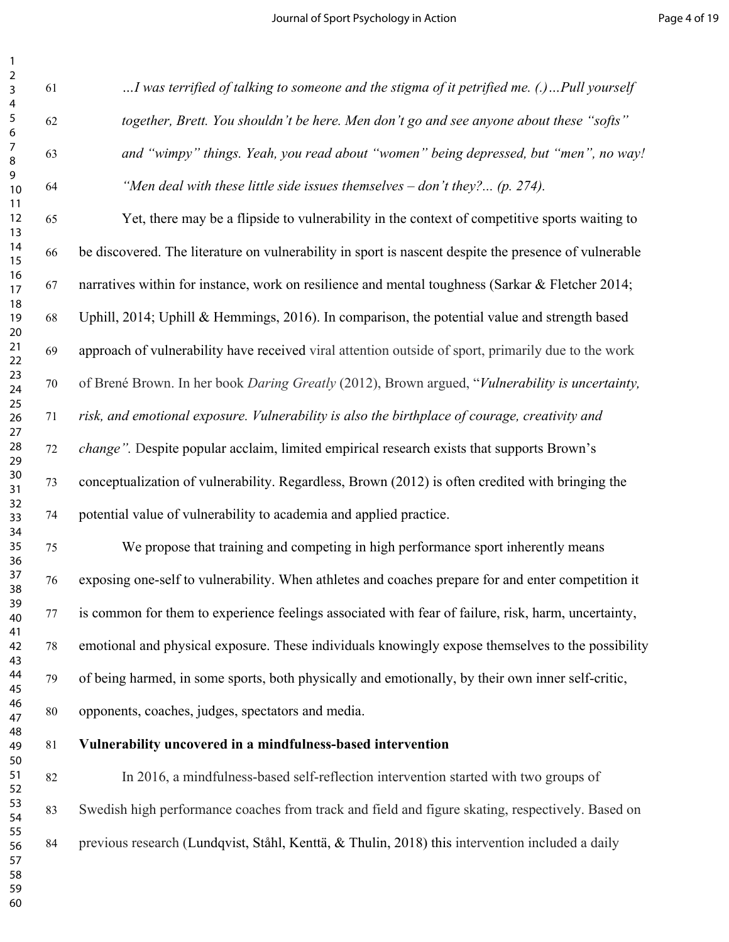| $\overline{a}$<br>3 | 61 | I was terrified of talking to someone and the stigma of it petrified me. (.)Pull yourself             |
|---------------------|----|-------------------------------------------------------------------------------------------------------|
| 4<br>5<br>6         | 62 | together, Brett. You shouldn't be here. Men don't go and see anyone about these "softs"               |
| 7<br>8              | 63 | and "wimpy" things. Yeah, you read about "women" being depressed, but "men", no way!                  |
| 9<br>10             | 64 | "Men deal with these little side issues themselves $-$ don't they? (p. 274).                          |
| 11<br>12<br>13      | 65 | Yet, there may be a flipside to vulnerability in the context of competitive sports waiting to         |
| 14<br>15            | 66 | be discovered. The literature on vulnerability in sport is nascent despite the presence of vulnerable |
| 16<br>17            | 67 | narratives within for instance, work on resilience and mental toughness (Sarkar & Fletcher 2014;      |
| 18<br>19<br>20      | 68 | Uphill, 2014; Uphill & Hemmings, 2016). In comparison, the potential value and strength based         |
| 21<br>22            | 69 | approach of vulnerability have received viral attention outside of sport, primarily due to the work   |
| 23<br>24            | 70 | of Brené Brown. In her book Daring Greatly (2012), Brown argued, "Vulnerability is uncertainty,       |
| 25<br>26<br>27      | 71 | risk, and emotional exposure. Vulnerability is also the birthplace of courage, creativity and         |
| 28<br>29            | 72 | <i>change</i> ". Despite popular acclaim, limited empirical research exists that supports Brown's     |
| 30<br>31            | 73 | conceptualization of vulnerability. Regardless, Brown (2012) is often credited with bringing the      |
| 32<br>33<br>34      | 74 | potential value of vulnerability to academia and applied practice.                                    |
| 35<br>36            | 75 | We propose that training and competing in high performance sport inherently means                     |
| 37<br>38            | 76 | exposing one-self to vulnerability. When athletes and coaches prepare for and enter competition it    |
| 39<br>40            | 77 | is common for them to experience feelings associated with fear of failure, risk, harm, uncertainty,   |
| 41<br>42<br>43      | 78 | emotional and physical exposure. These individuals knowingly expose themselves to the possibility     |
| 44<br>45            | 79 | of being harmed, in some sports, both physically and emotionally, by their own inner self-critic,     |
| 46<br>47            | 80 | opponents, coaches, judges, spectators and media.                                                     |
| 48<br>49<br>50      | 81 | Vulnerability uncovered in a mindfulness-based intervention                                           |
| 51<br>52            | 82 | In 2016, a mindfulness-based self-reflection intervention started with two groups of                  |
| 53<br>54            | 83 | Swedish high performance coaches from track and field and figure skating, respectively. Based on      |
| 55<br>56<br>57      | 84 | previous research (Lundqvist, Ståhl, Kenttä, & Thulin, 2018) this intervention included a daily       |
| 58<br>59            |    |                                                                                                       |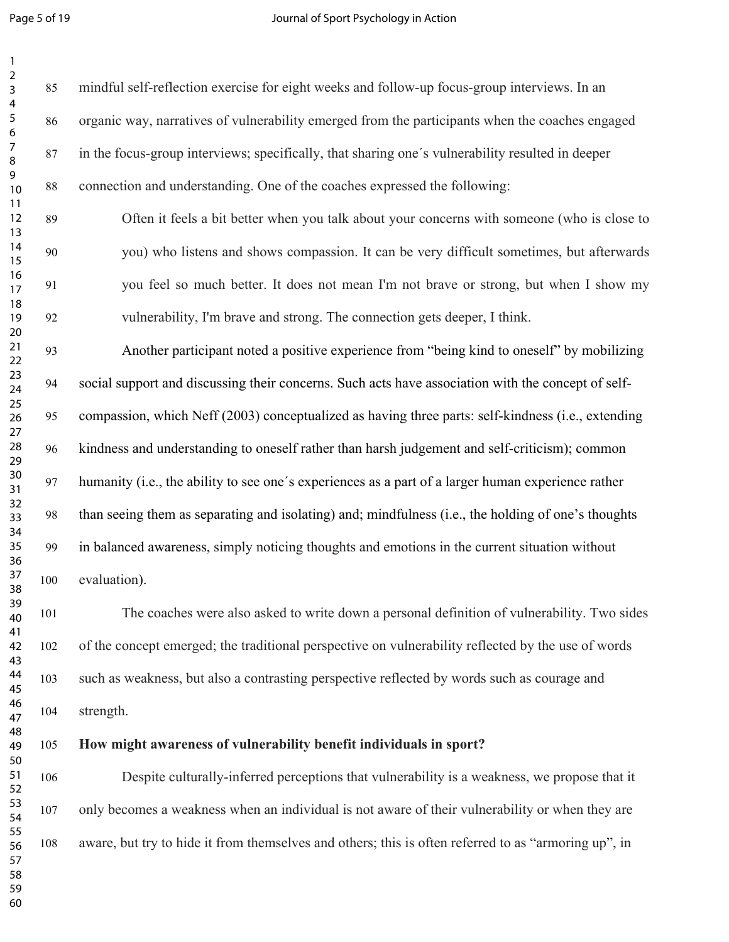Page 5 of 19 **Page 5 of 19** Journal of Sport Psychology in Action

| $\overline{a}$<br>3        | 85  | mindful self-reflection exercise for eight weeks and follow-up focus-group interviews. In an         |
|----------------------------|-----|------------------------------------------------------------------------------------------------------|
| 4<br>5<br>6                | 86  | organic way, narratives of vulnerability emerged from the participants when the coaches engaged      |
| 7<br>8                     | 87  | in the focus-group interviews; specifically, that sharing one's vulnerability resulted in deeper     |
| 9<br>10<br>11              | 88  | connection and understanding. One of the coaches expressed the following:                            |
| 12<br>13                   | 89  | Often it feels a bit better when you talk about your concerns with someone (who is close to          |
| 14<br>15                   | 90  | you) who listens and shows compassion. It can be very difficult sometimes, but afterwards            |
| 16<br>17<br>18             | 91  | you feel so much better. It does not mean I'm not brave or strong, but when I show my                |
| 19<br>20                   | 92  | vulnerability, I'm brave and strong. The connection gets deeper, I think.                            |
| 21<br>22                   | 93  | Another participant noted a positive experience from "being kind to oneself" by mobilizing           |
| 23<br>24<br>25             | 94  | social support and discussing their concerns. Such acts have association with the concept of self-   |
| 26<br>27                   | 95  | compassion, which Neff (2003) conceptualized as having three parts: self-kindness (i.e., extending   |
| 28<br>29<br>30<br>31<br>32 | 96  | kindness and understanding to oneself rather than harsh judgement and self-criticism); common        |
|                            | 97  | humanity (i.e., the ability to see one's experiences as a part of a larger human experience rather   |
| 33<br>34                   | 98  | than seeing them as separating and isolating) and; mindfulness (i.e., the holding of one's thoughts  |
| 35<br>36                   | 99  | in balanced awareness, simply noticing thoughts and emotions in the current situation without        |
| 37<br>38                   | 100 | evaluation).                                                                                         |
| 39<br>40<br>41             | 101 | The coaches were also asked to write down a personal definition of vulnerability. Two sides          |
| 42<br>43                   | 102 | of the concept emerged; the traditional perspective on vulnerability reflected by the use of words   |
| 44<br>45                   | 103 | such as weakness, but also a contrasting perspective reflected by words such as courage and          |
| 46<br>47<br>48             | 104 | strength.                                                                                            |
| 49<br>50                   | 105 | How might awareness of vulnerability benefit individuals in sport?                                   |
| 51<br>52                   | 106 | Despite culturally-inferred perceptions that vulnerability is a weakness, we propose that it         |
| 53<br>54                   | 107 | only becomes a weakness when an individual is not aware of their vulnerability or when they are      |
| 55<br>56<br>57             | 108 | aware, but try to hide it from themselves and others; this is often referred to as "armoring up", in |
| 58<br>59                   |     |                                                                                                      |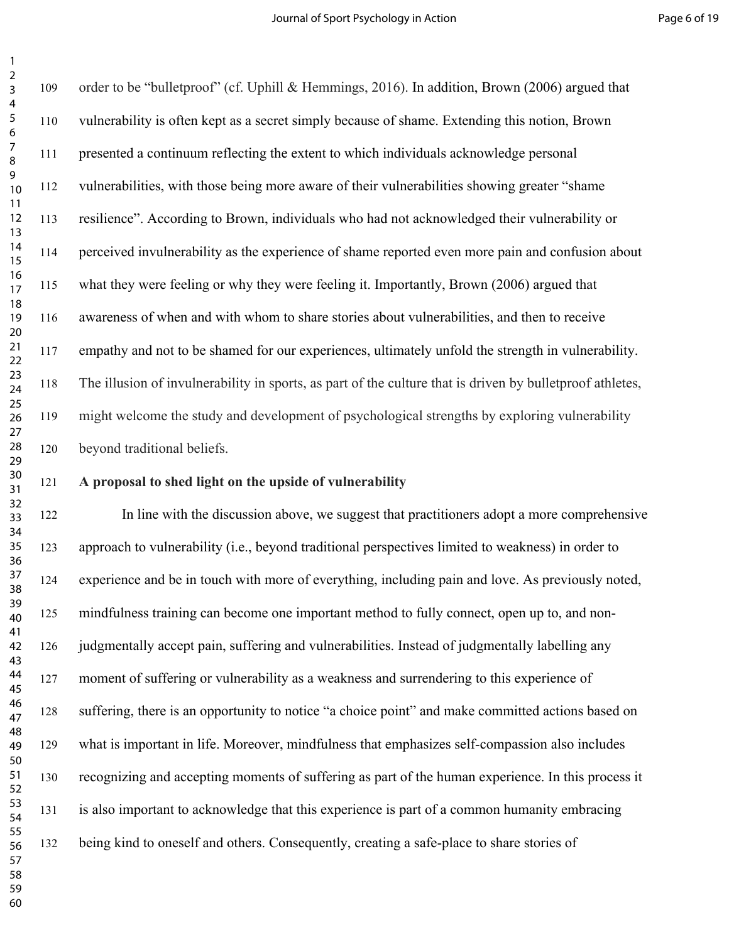order to be "bulletproof" (cf. Uphill & Hemmings, 2016). In addition, Brown (2006) argued that vulnerability is often kept as a secret simply because of shame. Extending this notion, Brown presented a continuum reflecting the extent to which individuals acknowledge personal vulnerabilities, with those being more aware of their vulnerabilities showing greater "shame resilience". According to Brown, individuals who had not acknowledged their vulnerability or perceived invulnerability as the experience of shame reported even more pain and confusion about what they were feeling or why they were feeling it. Importantly, Brown (2006) argued that awareness of when and with whom to share stories about vulnerabilities, and then to receive empathy and not to be shamed for our experiences, ultimately unfold the strength in vulnerability. The illusion of invulnerability in sports, as part of the culture that is driven by bulletproof athletes, might welcome the study and development of psychological strengths by exploring vulnerability beyond traditional beliefs.

## 

## **A proposal to shed light on the upside of vulnerability**

 In line with the discussion above, we suggest that practitioners adopt a more comprehensive approach to vulnerability (i.e., beyond traditional perspectives limited to weakness) in order to experience and be in touch with more of everything, including pain and love. As previously noted, mindfulness training can become one important method to fully connect, open up to, and non- judgmentally accept pain, suffering and vulnerabilities. Instead of judgmentally labelling any moment of suffering or vulnerability as a weakness and surrendering to this experience of suffering, there is an opportunity to notice "a choice point" and make committed actions based on what is important in life. Moreover, mindfulness that emphasizes self-compassion also includes recognizing and accepting moments of suffering as part of the human experience. In this process it is also important to acknowledge that this experience is part of a common humanity embracing being kind to oneself and others. Consequently, creating a safe-place to share stories of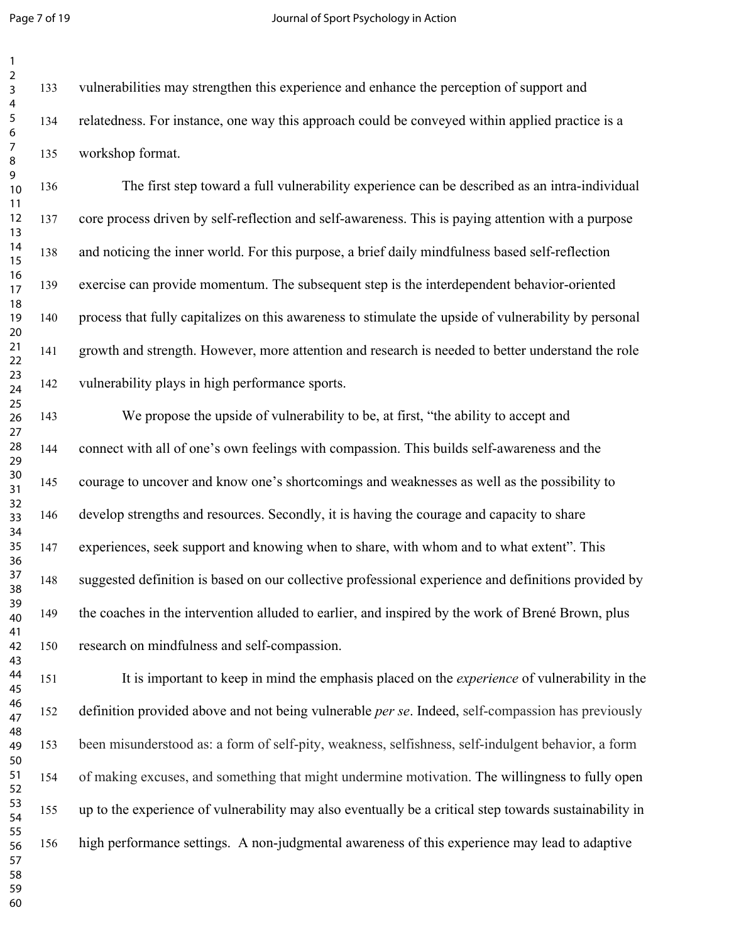Page 7 of 19 **Page 7** of 19 Journal of Sport Psychology in Action

 vulnerabilities may strengthen this experience and enhance the perception of support and relatedness. For instance, one way this approach could be conveyed within applied practice is a workshop format.

 The first step toward a full vulnerability experience can be described as an intra-individual core process driven by self-reflection and self-awareness. This is paying attention with a purpose and noticing the inner world. For this purpose, a brief daily mindfulness based self-reflection exercise can provide momentum. The subsequent step is the interdependent behavior-oriented process that fully capitalizes on this awareness to stimulate the upside of vulnerability by personal growth and strength. However, more attention and research is needed to better understand the role vulnerability plays in high performance sports.

 We propose the upside of vulnerability to be, at first, "the ability to accept and connect with all of one's own feelings with compassion. This builds self-awareness and the courage to uncover and know one's shortcomings and weaknesses as well as the possibility to develop strengths and resources. Secondly, it is having the courage and capacity to share experiences, seek support and knowing when to share, with whom and to what extent". This suggested definition is based on our collective professional experience and definitions provided by the coaches in the intervention alluded to earlier, and inspired by the work of Brené Brown, plus research on mindfulness and self-compassion.

 It is important to keep in mind the emphasis placed on the *experience* of vulnerability in the definition provided above and not being vulnerable *per se*. Indeed, self-compassion has previously been misunderstood as: a form of self-pity, weakness, selfishness, self-indulgent behavior, a form of making excuses, and something that might undermine motivation. The willingness to fully open up to the experience of vulnerability may also eventually be a critical step towards sustainability in high performance settings. A non-judgmental awareness of this experience may lead to adaptive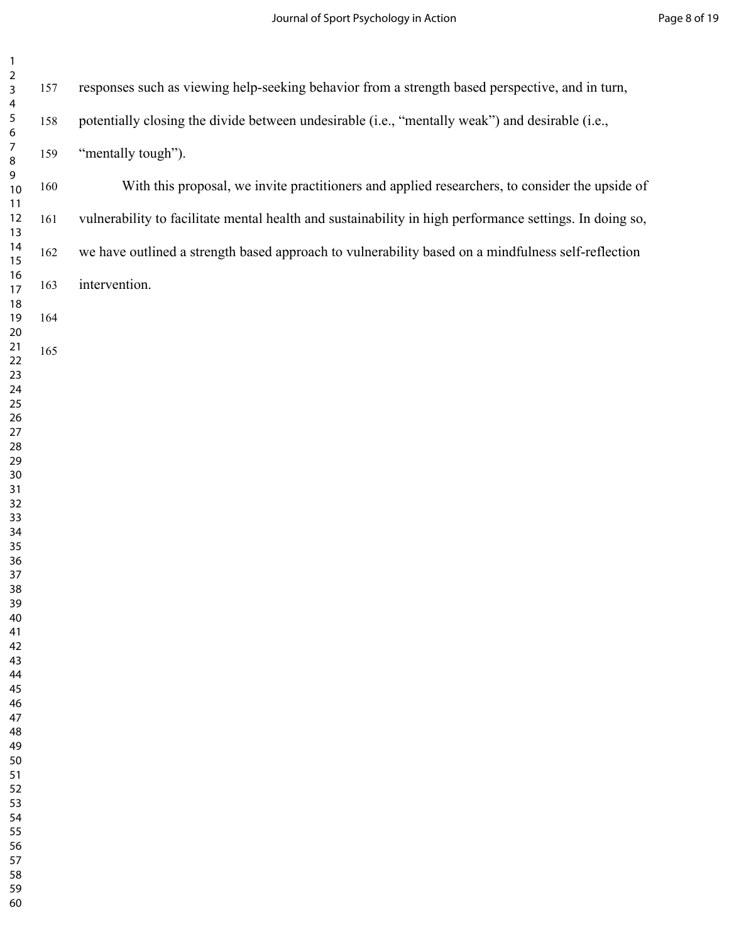| $\overline{\mathbf{c}}$<br>3<br>$\overline{\mathbf{4}}$ | 157 | responses such as viewing help-seeking behavior from a strength based perspective, and in turn,         |
|---------------------------------------------------------|-----|---------------------------------------------------------------------------------------------------------|
| 5<br>$\bf 6$                                            | 158 | potentially closing the divide between undesirable (i.e., "mentally weak") and desirable (i.e.,         |
| $\boldsymbol{7}$<br>8                                   | 159 | "mentally tough").                                                                                      |
| $\mathsf 9$<br>10<br>11                                 | 160 | With this proposal, we invite practitioners and applied researchers, to consider the upside of          |
| 12<br>13                                                | 161 | vulnerability to facilitate mental health and sustainability in high performance settings. In doing so, |
| 14<br>15                                                | 162 | we have outlined a strength based approach to vulnerability based on a mindfulness self-reflection      |
| 16<br>17<br>18                                          | 163 | intervention.                                                                                           |
| 19<br>20                                                | 164 |                                                                                                         |
| 21<br>22                                                | 165 |                                                                                                         |
| 23<br>24<br>25                                          |     |                                                                                                         |
| 26<br>27                                                |     |                                                                                                         |
| 28<br>29                                                |     |                                                                                                         |
| $30\,$<br>31<br>32                                      |     |                                                                                                         |
| 33<br>34                                                |     |                                                                                                         |
| 35<br>36                                                |     |                                                                                                         |
| 37<br>38<br>39                                          |     |                                                                                                         |
| 40<br>41                                                |     |                                                                                                         |
| 42<br>43                                                |     |                                                                                                         |
| 44<br>45<br>46                                          |     |                                                                                                         |
| 47<br>48                                                |     |                                                                                                         |
| 49<br>50                                                |     |                                                                                                         |
| 51<br>52                                                |     |                                                                                                         |
| 53<br>54                                                |     |                                                                                                         |
| 55<br>56                                                |     |                                                                                                         |
| 57<br>58                                                |     |                                                                                                         |
| 59<br>60                                                |     |                                                                                                         |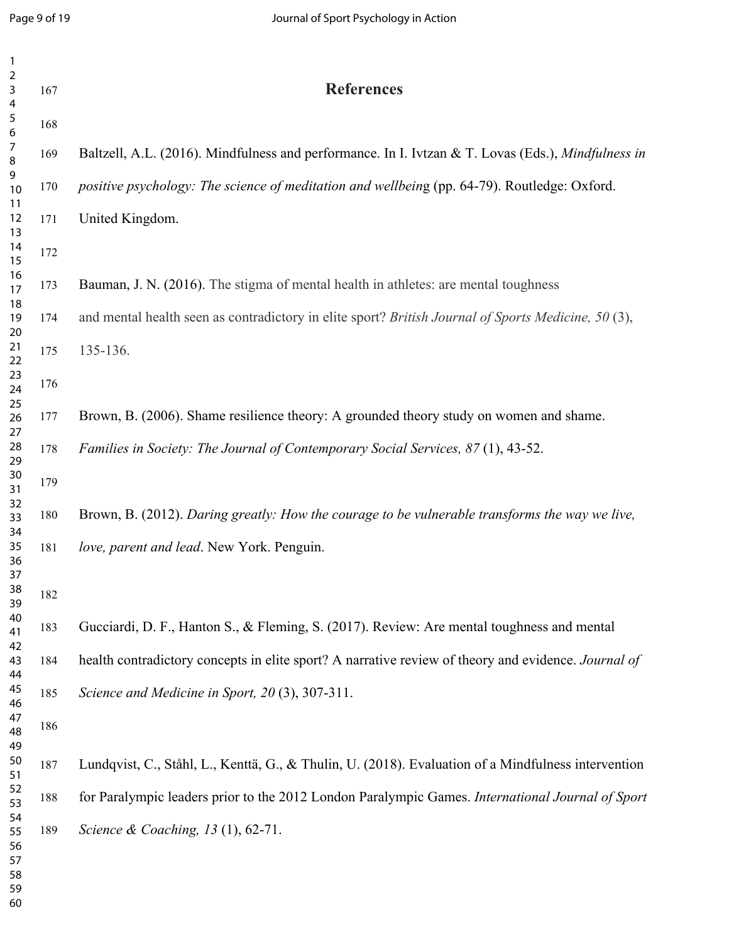| $\mathbf{1}$                                           |     |                                                                                                     |
|--------------------------------------------------------|-----|-----------------------------------------------------------------------------------------------------|
| $\mathbf 2$<br>$\mathbf{3}$<br>$\overline{\mathbf{4}}$ | 167 | <b>References</b>                                                                                   |
| $\sqrt{5}$<br>6                                        | 168 |                                                                                                     |
| $\overline{7}$<br>8                                    | 169 | Baltzell, A.L. (2016). Mindfulness and performance. In I. Ivtzan & T. Lovas (Eds.), Mindfulness in  |
| 9<br>10<br>11                                          | 170 | positive psychology: The science of meditation and wellbeing (pp. 64-79). Routledge: Oxford.        |
| 12<br>13                                               | 171 | United Kingdom.                                                                                     |
| 14<br>15                                               | 172 |                                                                                                     |
| 16<br>17                                               | 173 | Bauman, J. N. (2016). The stigma of mental health in athletes: are mental toughness                 |
| 18<br>19<br>20                                         | 174 | and mental health seen as contradictory in elite sport? British Journal of Sports Medicine, 50 (3), |
| 21<br>22                                               | 175 | 135-136.                                                                                            |
| 23<br>24                                               | 176 |                                                                                                     |
| 25<br>26<br>27                                         | 177 | Brown, B. (2006). Shame resilience theory: A grounded theory study on women and shame.              |
| 28<br>29                                               | 178 | Families in Society: The Journal of Contemporary Social Services, 87(1), 43-52.                     |
| 30<br>31                                               | 179 |                                                                                                     |
| 32<br>33<br>34                                         | 180 | Brown, B. (2012). Daring greatly: How the courage to be vulnerable transforms the way we live,      |
| 35<br>36<br>37                                         | 181 | love, parent and lead. New York. Penguin.                                                           |
| 38<br>39                                               | 182 |                                                                                                     |
| 40<br>41                                               | 183 | Gucciardi, D. F., Hanton S., & Fleming, S. (2017). Review: Are mental toughness and mental          |
| 42<br>43<br>44                                         | 184 | health contradictory concepts in elite sport? A narrative review of theory and evidence. Journal of |
| 45<br>46                                               | 185 | Science and Medicine in Sport, 20(3), 307-311.                                                      |
| 47<br>48                                               | 186 |                                                                                                     |
| 49<br>50<br>51                                         | 187 | Lundqvist, C., Ståhl, L., Kenttä, G., & Thulin, U. (2018). Evaluation of a Mindfulness intervention |
| 52<br>53                                               | 188 | for Paralympic leaders prior to the 2012 London Paralympic Games. International Journal of Sport    |
| 54<br>55<br>56<br>57<br>58<br>59                       | 189 | Science & Coaching, 13 (1), 62-71.                                                                  |
| 60                                                     |     |                                                                                                     |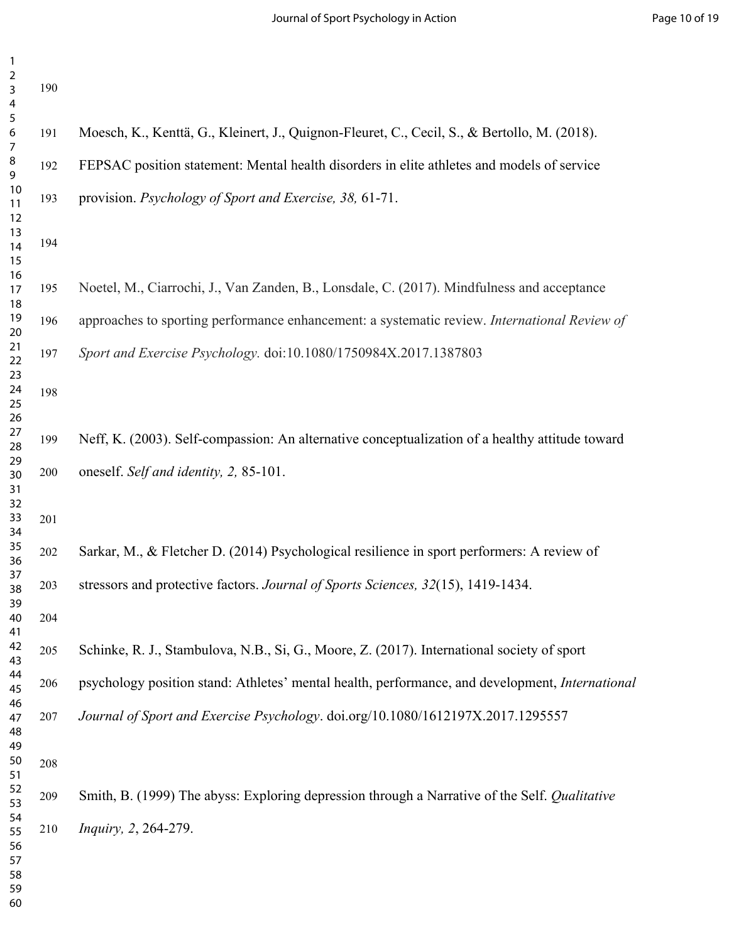| $\overline{2}$<br>3<br>4               | 190 |                                                                                                        |
|----------------------------------------|-----|--------------------------------------------------------------------------------------------------------|
| 5<br>6<br>7                            | 191 | Moesch, K., Kenttä, G., Kleinert, J., Quignon-Fleuret, C., Cecil, S., & Bertollo, M. (2018).           |
| 8<br>9                                 | 192 | FEPSAC position statement: Mental health disorders in elite athletes and models of service             |
| 10<br>11                               | 193 | provision. Psychology of Sport and Exercise, 38, 61-71.                                                |
| 12<br>13<br>14<br>15                   | 194 |                                                                                                        |
| 16<br>17<br>18                         | 195 | Noetel, M., Ciarrochi, J., Van Zanden, B., Lonsdale, C. (2017). Mindfulness and acceptance             |
| 19<br>20                               | 196 | approaches to sporting performance enhancement: a systematic review. International Review of           |
| 21<br>22                               | 197 | Sport and Exercise Psychology. doi:10.1080/1750984X.2017.1387803                                       |
| 23<br>24<br>25<br>26                   | 198 |                                                                                                        |
| 27<br>28                               | 199 | Neff, K. (2003). Self-compassion: An alternative conceptualization of a healthy attitude toward        |
| 29<br>30<br>31                         | 200 | oneself. Self and identity, 2, 85-101.                                                                 |
| 32<br>33<br>34                         | 201 |                                                                                                        |
| 35<br>36                               | 202 | Sarkar, M., & Fletcher D. (2014) Psychological resilience in sport performers: A review of             |
| 37<br>38<br>39                         | 203 | stressors and protective factors. Journal of Sports Sciences, 32(15), 1419-1434.                       |
| 40<br>41                               | 204 |                                                                                                        |
| 42<br>43                               | 205 | Schinke, R. J., Stambulova, N.B., Si, G., Moore, Z. (2017). International society of sport             |
| 44<br>45<br>46                         | 206 | psychology position stand: Athletes' mental health, performance, and development, <i>International</i> |
| 47<br>48<br>49                         | 207 | Journal of Sport and Exercise Psychology. doi.org/10.1080/1612197X.2017.1295557                        |
| 50<br>51                               | 208 |                                                                                                        |
| 52<br>53                               | 209 | Smith, B. (1999) The abyss: Exploring depression through a Narrative of the Self. Qualitative          |
| 54<br>55<br>56<br>57<br>58<br>59<br>60 | 210 | Inquiry, 2, 264-279.                                                                                   |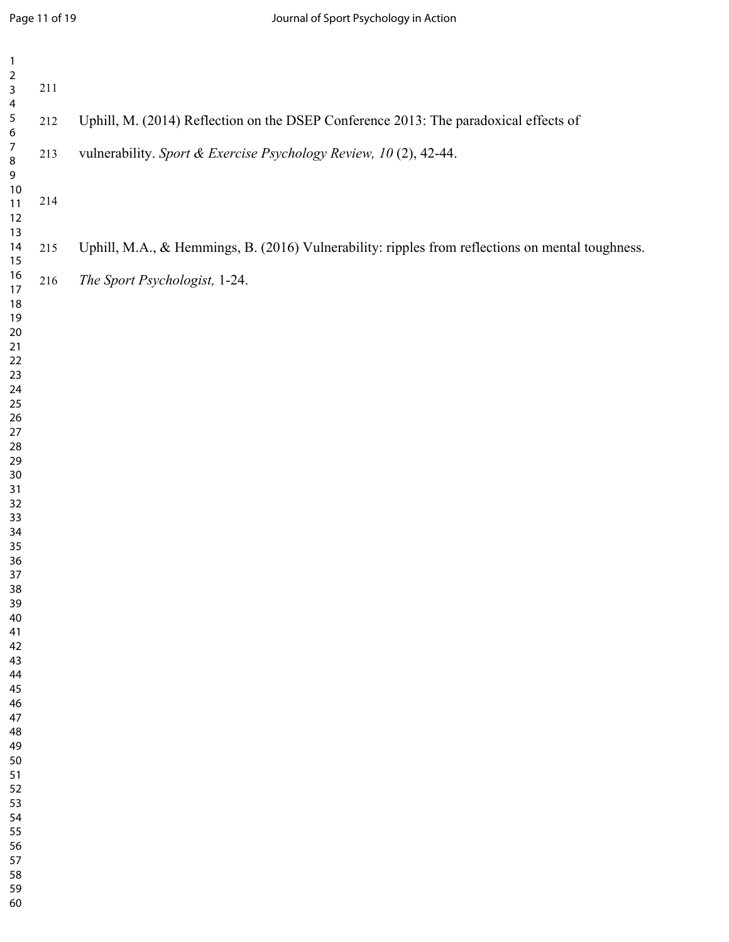| $\mathbf{1}$                                                                                                                                                                                                                                                                                                                       |         |                                                                                                  |
|------------------------------------------------------------------------------------------------------------------------------------------------------------------------------------------------------------------------------------------------------------------------------------------------------------------------------------|---------|--------------------------------------------------------------------------------------------------|
| $\mathbf 2$<br>$\overline{\mathbf{3}}$<br>$\overline{\mathbf{4}}$                                                                                                                                                                                                                                                                  | $211\,$ |                                                                                                  |
| $\sqrt{5}$<br>$\bf 6$<br>$\boldsymbol{7}$<br>$\,8\,$<br>$9\phantom{.0}$<br>10<br>$11$<br>$12\,$                                                                                                                                                                                                                                    | 212     | Uphill, M. (2014) Reflection on the DSEP Conference 2013: The paradoxical effects of             |
|                                                                                                                                                                                                                                                                                                                                    | 213     | vulnerability. Sport & Exercise Psychology Review, 10 (2), 42-44.                                |
|                                                                                                                                                                                                                                                                                                                                    | $214\,$ |                                                                                                  |
| 13<br>$14$<br>$15\,$                                                                                                                                                                                                                                                                                                               | 215     | Uphill, M.A., & Hemmings, B. (2016) Vulnerability: ripples from reflections on mental toughness. |
| $16\,$<br>17<br>$18\,$<br>$19$<br>$20\,$<br>$21$<br>$22\,$<br>$23\,$<br>$24\,$<br>$25\,$<br>$26\,$<br>$27\,$<br>${\bf 28}$<br>29<br>$30\,$<br>31<br>32<br>33<br>34<br>35<br>36<br>37<br>$38\,$<br>39<br>40<br>41<br>42<br>43<br>44<br>45<br>46<br>47<br>48<br>49<br>50<br>51<br>52<br>53<br>54<br>55<br>56<br>57<br>58<br>59<br>60 | 216     | The Sport Psychologist, 1-24.                                                                    |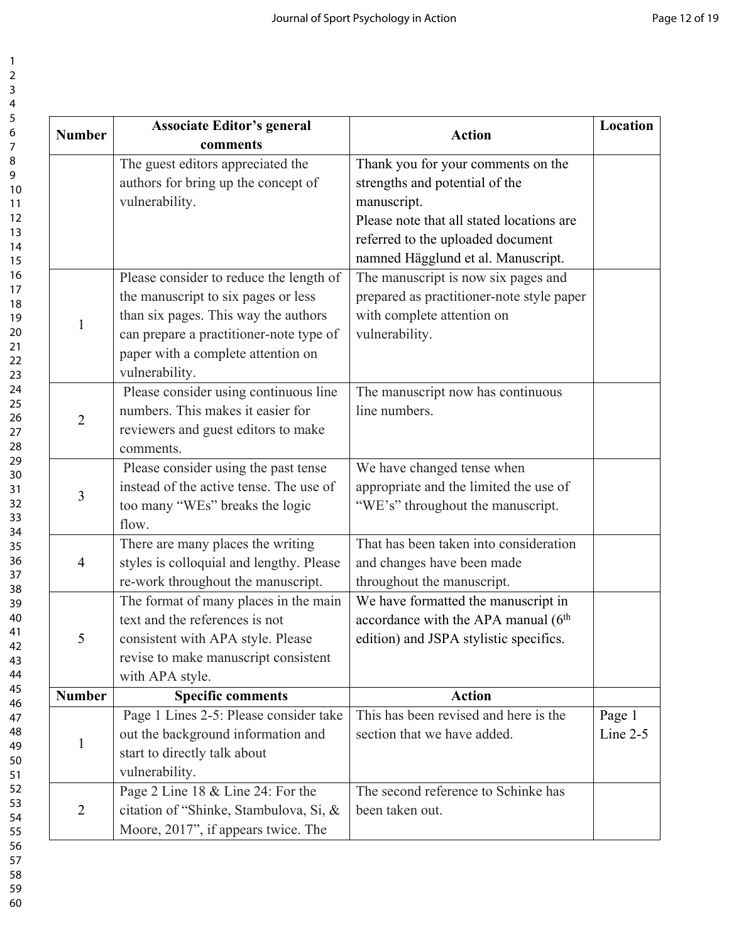**Action Location**

Page 1 Line 2-5

| <b>Number</b>  | <b>Associate Editor's general</b><br>comments | <b>Action</b>                                     |
|----------------|-----------------------------------------------|---------------------------------------------------|
|                | The guest editors appreciated the             | Thank you for your comments on the                |
|                | authors for bring up the concept of           | strengths and potential of the                    |
|                | vulnerability.                                | manuscript.                                       |
|                |                                               | Please note that all stated locations are         |
|                |                                               | referred to the uploaded document                 |
|                |                                               | namned Hägglund et al. Manuscript.                |
|                | Please consider to reduce the length of       | The manuscript is now six pages and               |
|                | the manuscript to six pages or less           | prepared as practitioner-note style paper         |
| $\mathbf{1}$   | than six pages. This way the authors          | with complete attention on                        |
|                | can prepare a practitioner-note type of       | vulnerability.                                    |
|                | paper with a complete attention on            |                                                   |
|                | vulnerability.                                |                                                   |
|                | Please consider using continuous line         | The manuscript now has continuous                 |
| $\overline{2}$ | numbers. This makes it easier for             | line numbers.                                     |
|                | reviewers and guest editors to make           |                                                   |
|                | comments.                                     |                                                   |
|                | Please consider using the past tense          | We have changed tense when                        |
| 3              | instead of the active tense. The use of       | appropriate and the limited the use of            |
|                | too many "WEs" breaks the logic               | "WE's" throughout the manuscript.                 |
|                | flow.                                         |                                                   |
|                | There are many places the writing             | That has been taken into consideration            |
| $\overline{4}$ | styles is colloquial and lengthy. Please      | and changes have been made                        |
|                | re-work throughout the manuscript.            | throughout the manuscript.                        |
|                | The format of many places in the main         | We have formatted the manuscript in               |
|                | text and the references is not                | accordance with the APA manual (6 <sup>th</sup> ) |
| 5              | consistent with APA style. Please             | edition) and JSPA stylistic specifics.            |
|                | revise to make manuscript consistent          |                                                   |
|                | with APA style.                               |                                                   |
| <b>Number</b>  | <b>Specific comments</b>                      | <b>Action</b>                                     |
|                | Page 1 Lines 2-5: Please consider take        | This has been revised and here is the             |
| $\mathbf{1}$   | out the background information and            | section that we have added.                       |
|                | start to directly talk about                  |                                                   |
|                | vulnerability.                                |                                                   |
|                | Page 2 Line 18 & Line 24: For the             | The second reference to Schinke has               |
| $\overline{2}$ | citation of "Shinke, Stambulova, Si, &        | been taken out.                                   |
|                | Moore, 2017", if appears twice. The           |                                                   |

60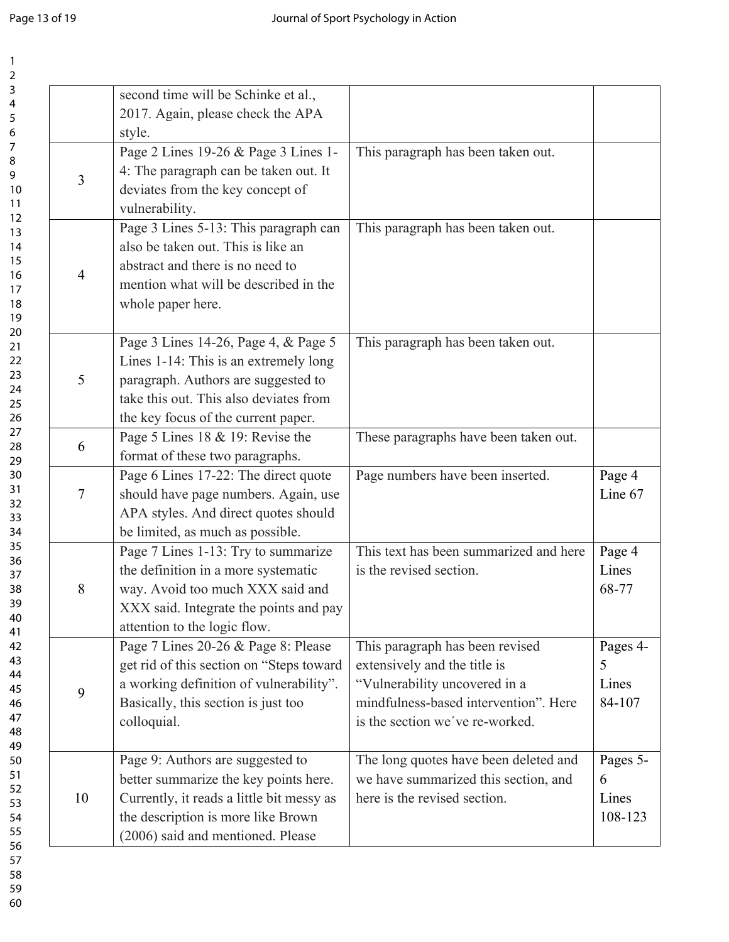| second time will be Schinke et al.,<br>4<br>2017. Again, please check the APA<br>5<br>style.<br>Page 2 Lines 19-26 & Page 3 Lines 1-<br>This paragraph has been taken out.<br>4: The paragraph can be taken out. It<br>3<br>deviates from the key concept of<br>vulnerability.<br>Page 3 Lines 5-13: This paragraph can<br>This paragraph has been taken out.<br>also be taken out. This is like an<br>abstract and there is no need to<br>$\overline{4}$<br>mention what will be described in the<br>whole paper here.<br>Page 3 Lines 14-26, Page 4, & Page 5<br>This paragraph has been taken out.<br>Lines 1-14: This is an extremely long<br>5<br>paragraph. Authors are suggested to<br>take this out. This also deviates from<br>the key focus of the current paper.<br>Page 5 Lines 18 & 19: Revise the<br>These paragraphs have been taken out.<br>6<br>format of these two paragraphs.<br>Page 6 Lines 17-22: The direct quote<br>Page numbers have been inserted.<br>Page 4<br>Line 67<br>should have page numbers. Again, use<br>7<br>APA styles. And direct quotes should<br>be limited, as much as possible.<br>Page 7 Lines 1-13: Try to summarize<br>This text has been summarized and here<br>Page 4<br>the definition in a more systematic<br>Lines<br>is the revised section.<br>68-77<br>way. Avoid too much XXX said and<br>8<br>38<br>XXX said. Integrate the points and pay<br>attention to the logic flow.<br>Page 7 Lines 20-26 & Page 8: Please<br>This paragraph has been revised<br>Pages 4- | $\overline{2}$ |                                          |                              |   |
|--------------------------------------------------------------------------------------------------------------------------------------------------------------------------------------------------------------------------------------------------------------------------------------------------------------------------------------------------------------------------------------------------------------------------------------------------------------------------------------------------------------------------------------------------------------------------------------------------------------------------------------------------------------------------------------------------------------------------------------------------------------------------------------------------------------------------------------------------------------------------------------------------------------------------------------------------------------------------------------------------------------------------------------------------------------------------------------------------------------------------------------------------------------------------------------------------------------------------------------------------------------------------------------------------------------------------------------------------------------------------------------------------------------------------------------------------------------------------------------------------------------------------|----------------|------------------------------------------|------------------------------|---|
| 6<br>7<br>8<br>9<br>10<br>11<br>12<br>13<br>14<br>15<br>16<br>17<br>18<br>19<br>20<br>21<br>22<br>23<br>24<br>25<br>26<br>27<br>28<br>29<br>30<br>31<br>32<br>33<br>34<br>35<br>36<br>37<br>43                                                                                                                                                                                                                                                                                                                                                                                                                                                                                                                                                                                                                                                                                                                                                                                                                                                                                                                                                                                                                                                                                                                                                                                                                                                                                                                           | 3              |                                          |                              |   |
|                                                                                                                                                                                                                                                                                                                                                                                                                                                                                                                                                                                                                                                                                                                                                                                                                                                                                                                                                                                                                                                                                                                                                                                                                                                                                                                                                                                                                                                                                                                          |                |                                          |                              |   |
|                                                                                                                                                                                                                                                                                                                                                                                                                                                                                                                                                                                                                                                                                                                                                                                                                                                                                                                                                                                                                                                                                                                                                                                                                                                                                                                                                                                                                                                                                                                          |                |                                          |                              |   |
|                                                                                                                                                                                                                                                                                                                                                                                                                                                                                                                                                                                                                                                                                                                                                                                                                                                                                                                                                                                                                                                                                                                                                                                                                                                                                                                                                                                                                                                                                                                          |                |                                          |                              |   |
|                                                                                                                                                                                                                                                                                                                                                                                                                                                                                                                                                                                                                                                                                                                                                                                                                                                                                                                                                                                                                                                                                                                                                                                                                                                                                                                                                                                                                                                                                                                          |                |                                          |                              |   |
|                                                                                                                                                                                                                                                                                                                                                                                                                                                                                                                                                                                                                                                                                                                                                                                                                                                                                                                                                                                                                                                                                                                                                                                                                                                                                                                                                                                                                                                                                                                          |                |                                          |                              |   |
|                                                                                                                                                                                                                                                                                                                                                                                                                                                                                                                                                                                                                                                                                                                                                                                                                                                                                                                                                                                                                                                                                                                                                                                                                                                                                                                                                                                                                                                                                                                          |                |                                          |                              |   |
|                                                                                                                                                                                                                                                                                                                                                                                                                                                                                                                                                                                                                                                                                                                                                                                                                                                                                                                                                                                                                                                                                                                                                                                                                                                                                                                                                                                                                                                                                                                          |                |                                          |                              |   |
|                                                                                                                                                                                                                                                                                                                                                                                                                                                                                                                                                                                                                                                                                                                                                                                                                                                                                                                                                                                                                                                                                                                                                                                                                                                                                                                                                                                                                                                                                                                          |                |                                          |                              |   |
| 39<br>40<br>41<br>42                                                                                                                                                                                                                                                                                                                                                                                                                                                                                                                                                                                                                                                                                                                                                                                                                                                                                                                                                                                                                                                                                                                                                                                                                                                                                                                                                                                                                                                                                                     |                |                                          |                              |   |
|                                                                                                                                                                                                                                                                                                                                                                                                                                                                                                                                                                                                                                                                                                                                                                                                                                                                                                                                                                                                                                                                                                                                                                                                                                                                                                                                                                                                                                                                                                                          |                |                                          |                              |   |
|                                                                                                                                                                                                                                                                                                                                                                                                                                                                                                                                                                                                                                                                                                                                                                                                                                                                                                                                                                                                                                                                                                                                                                                                                                                                                                                                                                                                                                                                                                                          |                |                                          |                              |   |
|                                                                                                                                                                                                                                                                                                                                                                                                                                                                                                                                                                                                                                                                                                                                                                                                                                                                                                                                                                                                                                                                                                                                                                                                                                                                                                                                                                                                                                                                                                                          |                |                                          |                              |   |
|                                                                                                                                                                                                                                                                                                                                                                                                                                                                                                                                                                                                                                                                                                                                                                                                                                                                                                                                                                                                                                                                                                                                                                                                                                                                                                                                                                                                                                                                                                                          |                |                                          |                              |   |
|                                                                                                                                                                                                                                                                                                                                                                                                                                                                                                                                                                                                                                                                                                                                                                                                                                                                                                                                                                                                                                                                                                                                                                                                                                                                                                                                                                                                                                                                                                                          |                |                                          |                              |   |
|                                                                                                                                                                                                                                                                                                                                                                                                                                                                                                                                                                                                                                                                                                                                                                                                                                                                                                                                                                                                                                                                                                                                                                                                                                                                                                                                                                                                                                                                                                                          |                |                                          |                              |   |
|                                                                                                                                                                                                                                                                                                                                                                                                                                                                                                                                                                                                                                                                                                                                                                                                                                                                                                                                                                                                                                                                                                                                                                                                                                                                                                                                                                                                                                                                                                                          |                |                                          |                              |   |
|                                                                                                                                                                                                                                                                                                                                                                                                                                                                                                                                                                                                                                                                                                                                                                                                                                                                                                                                                                                                                                                                                                                                                                                                                                                                                                                                                                                                                                                                                                                          |                |                                          |                              |   |
|                                                                                                                                                                                                                                                                                                                                                                                                                                                                                                                                                                                                                                                                                                                                                                                                                                                                                                                                                                                                                                                                                                                                                                                                                                                                                                                                                                                                                                                                                                                          |                |                                          |                              |   |
|                                                                                                                                                                                                                                                                                                                                                                                                                                                                                                                                                                                                                                                                                                                                                                                                                                                                                                                                                                                                                                                                                                                                                                                                                                                                                                                                                                                                                                                                                                                          |                |                                          |                              |   |
|                                                                                                                                                                                                                                                                                                                                                                                                                                                                                                                                                                                                                                                                                                                                                                                                                                                                                                                                                                                                                                                                                                                                                                                                                                                                                                                                                                                                                                                                                                                          |                |                                          |                              |   |
|                                                                                                                                                                                                                                                                                                                                                                                                                                                                                                                                                                                                                                                                                                                                                                                                                                                                                                                                                                                                                                                                                                                                                                                                                                                                                                                                                                                                                                                                                                                          |                |                                          |                              |   |
|                                                                                                                                                                                                                                                                                                                                                                                                                                                                                                                                                                                                                                                                                                                                                                                                                                                                                                                                                                                                                                                                                                                                                                                                                                                                                                                                                                                                                                                                                                                          |                |                                          |                              |   |
|                                                                                                                                                                                                                                                                                                                                                                                                                                                                                                                                                                                                                                                                                                                                                                                                                                                                                                                                                                                                                                                                                                                                                                                                                                                                                                                                                                                                                                                                                                                          |                |                                          |                              |   |
|                                                                                                                                                                                                                                                                                                                                                                                                                                                                                                                                                                                                                                                                                                                                                                                                                                                                                                                                                                                                                                                                                                                                                                                                                                                                                                                                                                                                                                                                                                                          |                |                                          |                              |   |
|                                                                                                                                                                                                                                                                                                                                                                                                                                                                                                                                                                                                                                                                                                                                                                                                                                                                                                                                                                                                                                                                                                                                                                                                                                                                                                                                                                                                                                                                                                                          |                |                                          |                              |   |
|                                                                                                                                                                                                                                                                                                                                                                                                                                                                                                                                                                                                                                                                                                                                                                                                                                                                                                                                                                                                                                                                                                                                                                                                                                                                                                                                                                                                                                                                                                                          |                |                                          |                              |   |
|                                                                                                                                                                                                                                                                                                                                                                                                                                                                                                                                                                                                                                                                                                                                                                                                                                                                                                                                                                                                                                                                                                                                                                                                                                                                                                                                                                                                                                                                                                                          |                |                                          |                              |   |
|                                                                                                                                                                                                                                                                                                                                                                                                                                                                                                                                                                                                                                                                                                                                                                                                                                                                                                                                                                                                                                                                                                                                                                                                                                                                                                                                                                                                                                                                                                                          |                |                                          |                              |   |
|                                                                                                                                                                                                                                                                                                                                                                                                                                                                                                                                                                                                                                                                                                                                                                                                                                                                                                                                                                                                                                                                                                                                                                                                                                                                                                                                                                                                                                                                                                                          |                |                                          |                              |   |
|                                                                                                                                                                                                                                                                                                                                                                                                                                                                                                                                                                                                                                                                                                                                                                                                                                                                                                                                                                                                                                                                                                                                                                                                                                                                                                                                                                                                                                                                                                                          |                |                                          |                              |   |
|                                                                                                                                                                                                                                                                                                                                                                                                                                                                                                                                                                                                                                                                                                                                                                                                                                                                                                                                                                                                                                                                                                                                                                                                                                                                                                                                                                                                                                                                                                                          |                |                                          |                              |   |
| 44                                                                                                                                                                                                                                                                                                                                                                                                                                                                                                                                                                                                                                                                                                                                                                                                                                                                                                                                                                                                                                                                                                                                                                                                                                                                                                                                                                                                                                                                                                                       |                | get rid of this section on "Steps toward | extensively and the title is | 5 |
| a working definition of vulnerability".<br>"Vulnerability uncovered in a<br>Lines<br>45<br>9                                                                                                                                                                                                                                                                                                                                                                                                                                                                                                                                                                                                                                                                                                                                                                                                                                                                                                                                                                                                                                                                                                                                                                                                                                                                                                                                                                                                                             |                |                                          |                              |   |
| mindfulness-based intervention". Here<br>84-107<br>Basically, this section is just too<br>46                                                                                                                                                                                                                                                                                                                                                                                                                                                                                                                                                                                                                                                                                                                                                                                                                                                                                                                                                                                                                                                                                                                                                                                                                                                                                                                                                                                                                             |                |                                          |                              |   |
| 47<br>is the section we've re-worked.<br>colloquial.                                                                                                                                                                                                                                                                                                                                                                                                                                                                                                                                                                                                                                                                                                                                                                                                                                                                                                                                                                                                                                                                                                                                                                                                                                                                                                                                                                                                                                                                     |                |                                          |                              |   |
| 48<br>49                                                                                                                                                                                                                                                                                                                                                                                                                                                                                                                                                                                                                                                                                                                                                                                                                                                                                                                                                                                                                                                                                                                                                                                                                                                                                                                                                                                                                                                                                                                 |                |                                          |                              |   |
| The long quotes have been deleted and<br>Pages 5-<br>Page 9: Authors are suggested to<br>50                                                                                                                                                                                                                                                                                                                                                                                                                                                                                                                                                                                                                                                                                                                                                                                                                                                                                                                                                                                                                                                                                                                                                                                                                                                                                                                                                                                                                              |                |                                          |                              |   |
| 51<br>we have summarized this section, and<br>better summarize the key points here.<br>6                                                                                                                                                                                                                                                                                                                                                                                                                                                                                                                                                                                                                                                                                                                                                                                                                                                                                                                                                                                                                                                                                                                                                                                                                                                                                                                                                                                                                                 |                |                                          |                              |   |
| 52<br>Currently, it reads a little bit messy as<br>here is the revised section.<br>Lines<br>10                                                                                                                                                                                                                                                                                                                                                                                                                                                                                                                                                                                                                                                                                                                                                                                                                                                                                                                                                                                                                                                                                                                                                                                                                                                                                                                                                                                                                           |                |                                          |                              |   |
| 53<br>the description is more like Brown<br>108-123<br>54                                                                                                                                                                                                                                                                                                                                                                                                                                                                                                                                                                                                                                                                                                                                                                                                                                                                                                                                                                                                                                                                                                                                                                                                                                                                                                                                                                                                                                                                |                |                                          |                              |   |
| 55<br>(2006) said and mentioned. Please                                                                                                                                                                                                                                                                                                                                                                                                                                                                                                                                                                                                                                                                                                                                                                                                                                                                                                                                                                                                                                                                                                                                                                                                                                                                                                                                                                                                                                                                                  |                |                                          |                              |   |
| 56<br>57                                                                                                                                                                                                                                                                                                                                                                                                                                                                                                                                                                                                                                                                                                                                                                                                                                                                                                                                                                                                                                                                                                                                                                                                                                                                                                                                                                                                                                                                                                                 |                |                                          |                              |   |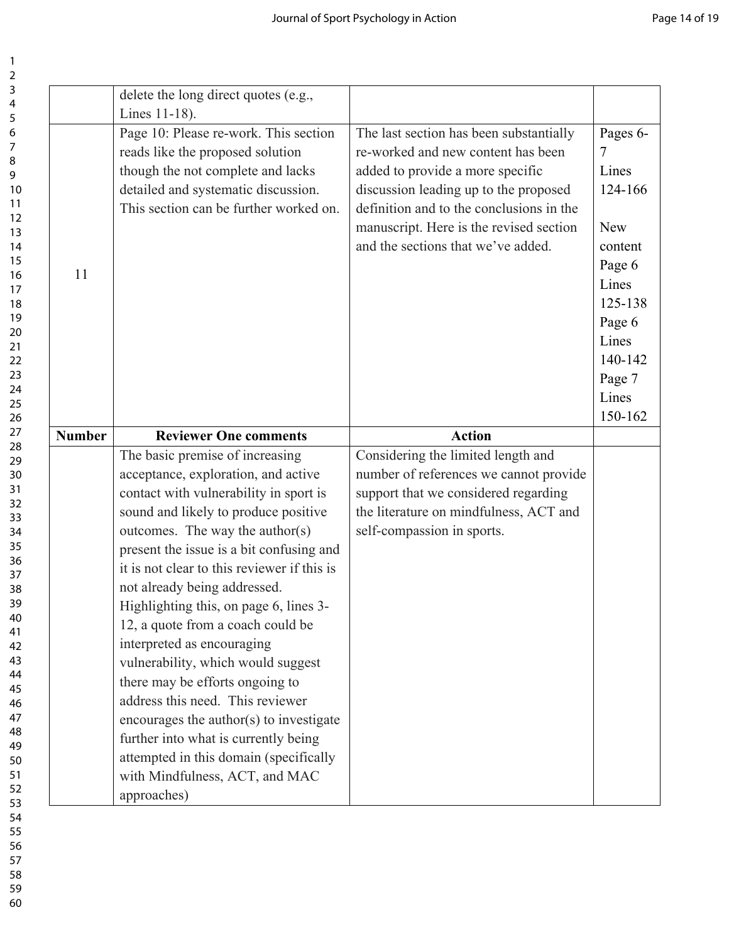|               | delete the long direct quotes (e.g.,<br>Lines 11-18).                         |                                                                                   |            |
|---------------|-------------------------------------------------------------------------------|-----------------------------------------------------------------------------------|------------|
|               | Page 10: Please re-work. This section                                         | The last section has been substantially                                           | Pages 6-   |
|               | reads like the proposed solution                                              | re-worked and new content has been                                                | 7          |
|               | though the not complete and lacks                                             | added to provide a more specific                                                  | Lines      |
|               | detailed and systematic discussion.<br>This section can be further worked on. | discussion leading up to the proposed<br>definition and to the conclusions in the | 124-166    |
|               |                                                                               | manuscript. Here is the revised section                                           | <b>New</b> |
|               |                                                                               | and the sections that we've added.                                                | content    |
|               |                                                                               |                                                                                   | Page 6     |
| 11            |                                                                               |                                                                                   | Lines      |
|               |                                                                               |                                                                                   | 125-138    |
|               |                                                                               |                                                                                   | Page 6     |
|               |                                                                               |                                                                                   | Lines      |
|               |                                                                               |                                                                                   | 140-142    |
|               |                                                                               |                                                                                   | Page 7     |
|               |                                                                               |                                                                                   | Lines      |
|               |                                                                               |                                                                                   | 150-162    |
| <b>Number</b> | <b>Reviewer One comments</b>                                                  | <b>Action</b>                                                                     |            |
|               | The basic premise of increasing                                               | Considering the limited length and                                                |            |
|               | acceptance, exploration, and active                                           | number of references we cannot provide                                            |            |
|               | contact with vulnerability in sport is                                        | support that we considered regarding                                              |            |
|               | sound and likely to produce positive                                          | the literature on mindfulness, ACT and                                            |            |
|               | outcomes. The way the author(s)                                               | self-compassion in sports.                                                        |            |
|               | present the issue is a bit confusing and                                      |                                                                                   |            |
|               | it is not clear to this reviewer if this is                                   |                                                                                   |            |
|               | not already being addressed.                                                  |                                                                                   |            |
|               | Highlighting this, on page 6, lines 3-                                        |                                                                                   |            |
|               | 12, a quote from a coach could be                                             |                                                                                   |            |
|               | interpreted as encouraging                                                    |                                                                                   |            |
|               | vulnerability, which would suggest                                            |                                                                                   |            |
|               | there may be efforts ongoing to                                               |                                                                                   |            |
|               | address this need. This reviewer                                              |                                                                                   |            |
|               | encourages the author(s) to investigate                                       |                                                                                   |            |
|               | further into what is currently being                                          |                                                                                   |            |
|               | attempted in this domain (specifically                                        |                                                                                   |            |
|               | with Mindfulness, ACT, and MAC                                                |                                                                                   |            |
|               | approaches)                                                                   |                                                                                   |            |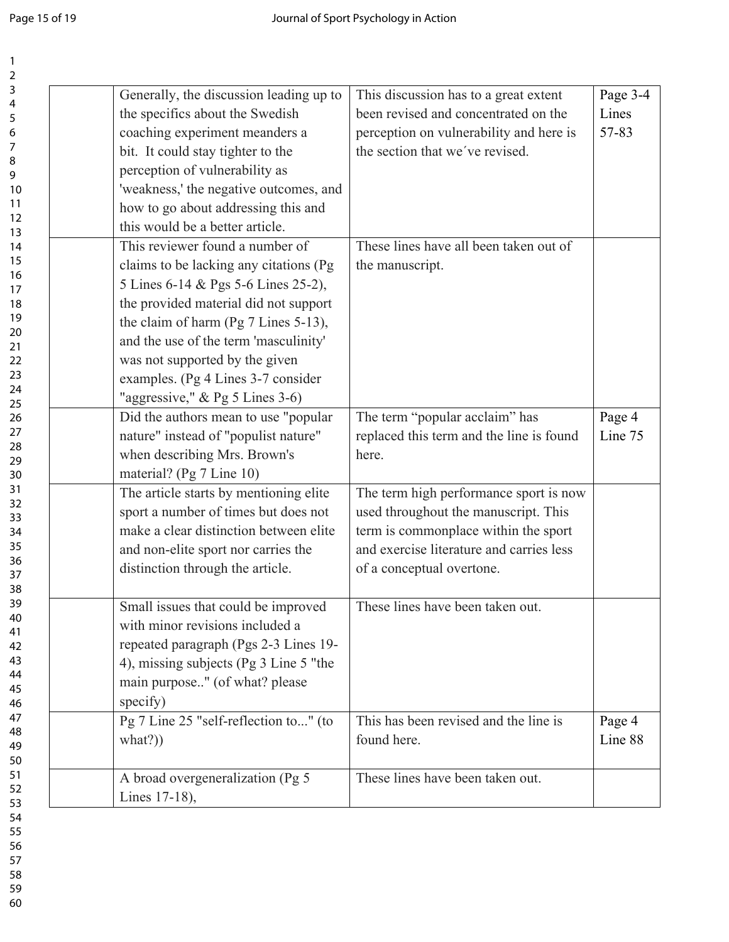| $\overline{\mathbf{c}}$ |                                         |                                          |          |
|-------------------------|-----------------------------------------|------------------------------------------|----------|
| 3                       | Generally, the discussion leading up to | This discussion has to a great extent    | Page 3-4 |
| 4<br>5                  | the specifics about the Swedish         | been revised and concentrated on the     | Lines    |
| 6                       | coaching experiment meanders a          | perception on vulnerability and here is  | 57-83    |
| 7                       | bit. It could stay tighter to the       | the section that we've revised.          |          |
| 8                       | perception of vulnerability as          |                                          |          |
| 9                       |                                         |                                          |          |
| 10<br>11                | 'weakness,' the negative outcomes, and  |                                          |          |
| 12                      | how to go about addressing this and     |                                          |          |
| 13                      | this would be a better article.         |                                          |          |
| 14                      | This reviewer found a number of         | These lines have all been taken out of   |          |
| 15                      | claims to be lacking any citations (Pg) | the manuscript.                          |          |
| 16<br>17                | 5 Lines 6-14 & Pgs 5-6 Lines 25-2),     |                                          |          |
| 18                      | the provided material did not support   |                                          |          |
| 19                      | the claim of harm (Pg 7 Lines 5-13),    |                                          |          |
| 20                      | and the use of the term 'masculinity'   |                                          |          |
| 21                      |                                         |                                          |          |
| 22<br>23                | was not supported by the given          |                                          |          |
| 24                      | examples. (Pg 4 Lines 3-7 consider      |                                          |          |
| 25                      | "aggressive," & Pg 5 Lines 3-6)         |                                          |          |
| 26                      | Did the authors mean to use "popular    | The term "popular acclaim" has           | Page 4   |
| 27                      | nature" instead of "populist nature"    | replaced this term and the line is found | Line 75  |
| 28<br>29                | when describing Mrs. Brown's            | here.                                    |          |
| 30                      | material? (Pg 7 Line 10)                |                                          |          |
| 31                      | The article starts by mentioning elite  | The term high performance sport is now   |          |
| 32                      | sport a number of times but does not    | used throughout the manuscript. This     |          |
| 33<br>34                | make a clear distinction between elite  | term is commonplace within the sport     |          |
| 35                      | and non-elite sport nor carries the     | and exercise literature and carries less |          |
| 36                      |                                         |                                          |          |
| 37                      | distinction through the article.        | of a conceptual overtone.                |          |
| 38                      |                                         |                                          |          |
| 39<br>40                | Small issues that could be improved     | These lines have been taken out.         |          |
| 41                      | with minor revisions included a         |                                          |          |
| 42                      | repeated paragraph (Pgs 2-3 Lines 19-   |                                          |          |
| 43                      | 4), missing subjects (Pg 3 Line 5 "the  |                                          |          |
| 44                      | main purpose" (of what? please          |                                          |          |
| 45<br>46                | specify)                                |                                          |          |
| 47                      | Pg 7 Line 25 "self-reflection to" (to   | This has been revised and the line is    | Page 4   |
| 48                      | what?)                                  | found here.                              | Line 88  |
| 49                      |                                         |                                          |          |
| 50<br>51                |                                         |                                          |          |
| 52                      | A broad overgeneralization (Pg 5        | These lines have been taken out.         |          |
| 53                      | Lines 17-18),                           |                                          |          |
| 54                      |                                         |                                          |          |
| 55                      |                                         |                                          |          |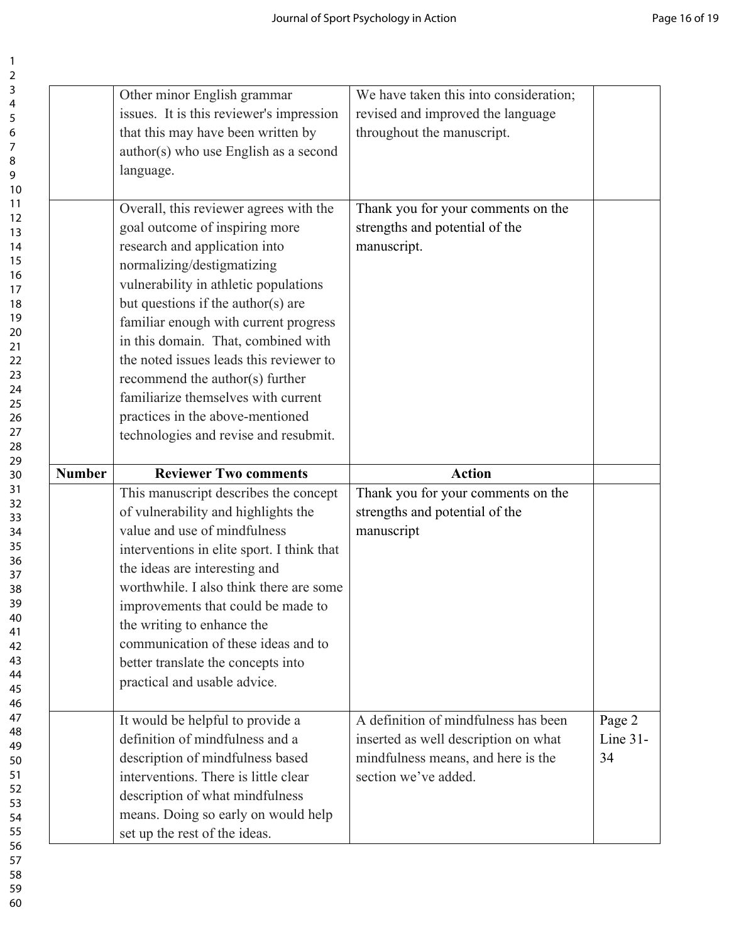|               | Other minor English grammar<br>issues. It is this reviewer's impression<br>that this may have been written by<br>author(s) who use English as a second<br>language.                                                                                                                                                                                                                                                                                                                                      | We have taken this into consideration;<br>revised and improved the language<br>throughout the manuscript.                                  |                          |
|---------------|----------------------------------------------------------------------------------------------------------------------------------------------------------------------------------------------------------------------------------------------------------------------------------------------------------------------------------------------------------------------------------------------------------------------------------------------------------------------------------------------------------|--------------------------------------------------------------------------------------------------------------------------------------------|--------------------------|
|               | Overall, this reviewer agrees with the<br>goal outcome of inspiring more<br>research and application into<br>normalizing/destigmatizing<br>vulnerability in athletic populations<br>but questions if the author(s) are<br>familiar enough with current progress<br>in this domain. That, combined with<br>the noted issues leads this reviewer to<br>recommend the author(s) further<br>familiarize themselves with current<br>practices in the above-mentioned<br>technologies and revise and resubmit. | Thank you for your comments on the<br>strengths and potential of the<br>manuscript.                                                        |                          |
| <b>Number</b> | <b>Reviewer Two comments</b>                                                                                                                                                                                                                                                                                                                                                                                                                                                                             | <b>Action</b>                                                                                                                              |                          |
|               | This manuscript describes the concept<br>of vulnerability and highlights the<br>value and use of mindfulness<br>interventions in elite sport. I think that<br>the ideas are interesting and<br>worthwhile. I also think there are some<br>improvements that could be made to<br>the writing to enhance the<br>communication of these ideas and to<br>better translate the concepts into<br>practical and usable advice.                                                                                  | Thank you for your comments on the<br>strengths and potential of the<br>manuscript                                                         |                          |
|               | It would be helpful to provide a<br>definition of mindfulness and a<br>description of mindfulness based<br>interventions. There is little clear<br>description of what mindfulness<br>means. Doing so early on would help                                                                                                                                                                                                                                                                                | A definition of mindfulness has been<br>inserted as well description on what<br>mindfulness means, and here is the<br>section we've added. | Page 2<br>Line 31-<br>34 |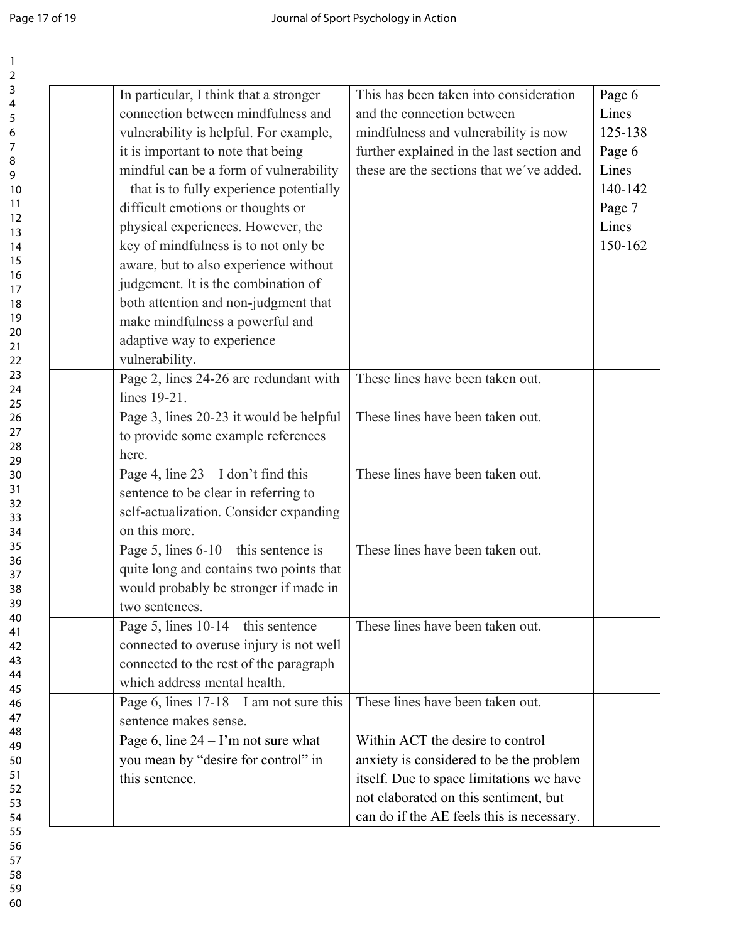| 2        |                                            |                                           |         |
|----------|--------------------------------------------|-------------------------------------------|---------|
| 3        | In particular, I think that a stronger     | This has been taken into consideration    | Page 6  |
| 4        | connection between mindfulness and         | and the connection between                | Lines   |
| 5<br>6   | vulnerability is helpful. For example,     | mindfulness and vulnerability is now      | 125-138 |
| 7        |                                            |                                           |         |
| 8        | it is important to note that being         | further explained in the last section and | Page 6  |
| 9        | mindful can be a form of vulnerability     | these are the sections that we've added.  | Lines   |
| 10       | - that is to fully experience potentially  |                                           | 140-142 |
| 11       | difficult emotions or thoughts or          |                                           | Page 7  |
| 12       | physical experiences. However, the         |                                           | Lines   |
| 13<br>14 | key of mindfulness is to not only be       |                                           | 150-162 |
| 15       |                                            |                                           |         |
| 16       | aware, but to also experience without      |                                           |         |
| 17       | judgement. It is the combination of        |                                           |         |
| 18       | both attention and non-judgment that       |                                           |         |
| 19       | make mindfulness a powerful and            |                                           |         |
| 20       | adaptive way to experience                 |                                           |         |
| 21<br>22 | vulnerability.                             |                                           |         |
| 23       |                                            | These lines have been taken out.          |         |
| 24       | Page 2, lines 24-26 are redundant with     |                                           |         |
| 25       | lines 19-21.                               |                                           |         |
| 26       | Page 3, lines 20-23 it would be helpful    | These lines have been taken out.          |         |
| 27       | to provide some example references         |                                           |         |
| 28<br>29 | here.                                      |                                           |         |
| 30       | Page 4, line $23 - I$ don't find this      | These lines have been taken out.          |         |
| 31       | sentence to be clear in referring to       |                                           |         |
| 32       |                                            |                                           |         |
| 33       | self-actualization. Consider expanding     |                                           |         |
| 34       | on this more.                              |                                           |         |
| 35       | Page 5, lines $6-10$ – this sentence is    | These lines have been taken out.          |         |
| 36<br>37 | quite long and contains two points that    |                                           |         |
| 38       | would probably be stronger if made in      |                                           |         |
| 39       | two sentences.                             |                                           |         |
| 40       |                                            |                                           |         |
| 41       | Page 5, lines $10-14$ – this sentence      | These lines have been taken out.          |         |
| 42       | connected to overuse injury is not well    |                                           |         |
| 43       | connected to the rest of the paragraph     |                                           |         |
| 44<br>45 | which address mental health.               |                                           |         |
| 46       | Page 6, lines $17-18 - I$ am not sure this | These lines have been taken out.          |         |
| 47       | sentence makes sense.                      |                                           |         |
| 48       |                                            |                                           |         |
| 49       | Page 6, line $24 - I'm$ not sure what      | Within ACT the desire to control          |         |
| 50       | you mean by "desire for control" in        | anxiety is considered to be the problem   |         |
| 51       | this sentence.                             | itself. Due to space limitations we have  |         |
| 52<br>53 |                                            | not elaborated on this sentiment, but     |         |
| 54       |                                            | can do if the AE feels this is necessary. |         |
| 55       |                                            |                                           |         |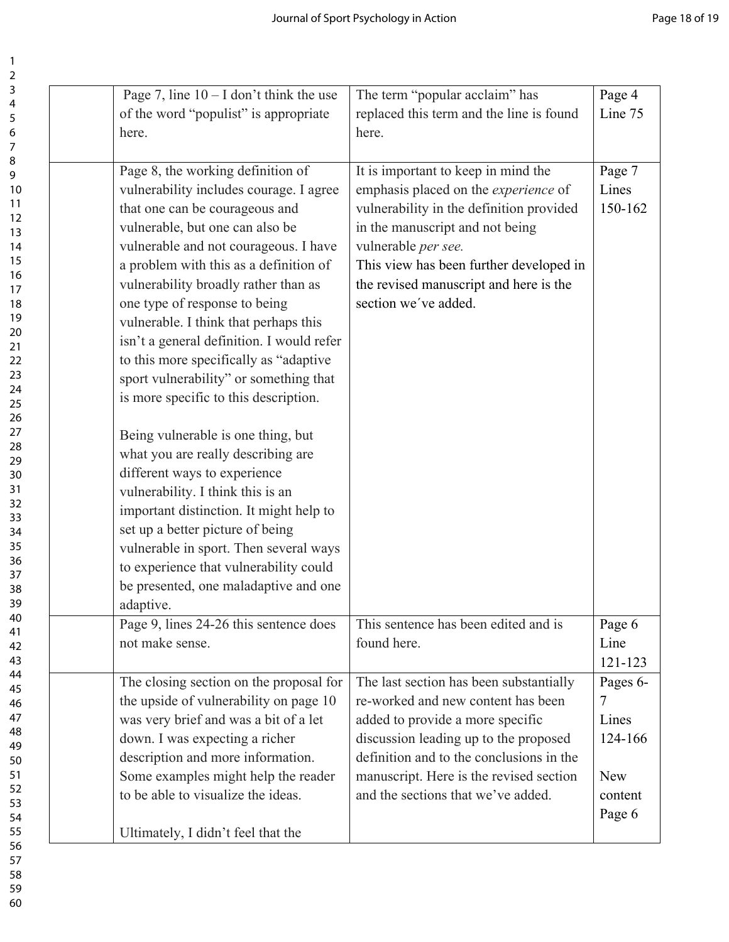| Page 7, line $10 - I$ don't think the use | The term "popular acclaim" has              | Page 4     |
|-------------------------------------------|---------------------------------------------|------------|
| of the word "populist" is appropriate     | replaced this term and the line is found    | Line 75    |
| here.                                     | here.                                       |            |
|                                           |                                             |            |
| Page 8, the working definition of         | It is important to keep in mind the         | Page 7     |
| vulnerability includes courage. I agree   | emphasis placed on the <i>experience</i> of | Lines      |
| that one can be courageous and            | vulnerability in the definition provided    | 150-162    |
| vulnerable, but one can also be           | in the manuscript and not being             |            |
|                                           |                                             |            |
| vulnerable and not courageous. I have     | vulnerable per see.                         |            |
| a problem with this as a definition of    | This view has been further developed in     |            |
| vulnerability broadly rather than as      | the revised manuscript and here is the      |            |
| one type of response to being             | section we've added.                        |            |
| vulnerable. I think that perhaps this     |                                             |            |
| isn't a general definition. I would refer |                                             |            |
|                                           |                                             |            |
| to this more specifically as "adaptive"   |                                             |            |
| sport vulnerability" or something that    |                                             |            |
| is more specific to this description.     |                                             |            |
|                                           |                                             |            |
| Being vulnerable is one thing, but        |                                             |            |
| what you are really describing are        |                                             |            |
| different ways to experience              |                                             |            |
|                                           |                                             |            |
| vulnerability. I think this is an         |                                             |            |
| important distinction. It might help to   |                                             |            |
| set up a better picture of being          |                                             |            |
| vulnerable in sport. Then several ways    |                                             |            |
| to experience that vulnerability could    |                                             |            |
| be presented, one maladaptive and one     |                                             |            |
| adaptive.                                 |                                             |            |
| Page 9, lines 24-26 this sentence does    | This sentence has been edited and is        | Page 6     |
|                                           |                                             |            |
| not make sense.                           | found here.                                 | Line       |
|                                           |                                             | 121-123    |
| The closing section on the proposal for   | The last section has been substantially     | Pages 6-   |
| the upside of vulnerability on page 10    | re-worked and new content has been          | 7          |
| was very brief and was a bit of a let     | added to provide a more specific            | Lines      |
| down. I was expecting a richer            | discussion leading up to the proposed       | 124-166    |
| description and more information.         | definition and to the conclusions in the    |            |
|                                           |                                             | <b>New</b> |
| Some examples might help the reader       | manuscript. Here is the revised section     |            |
| to be able to visualize the ideas.        | and the sections that we've added.          | content    |
|                                           |                                             | Page 6     |
| Ultimately, I didn't feel that the        |                                             |            |